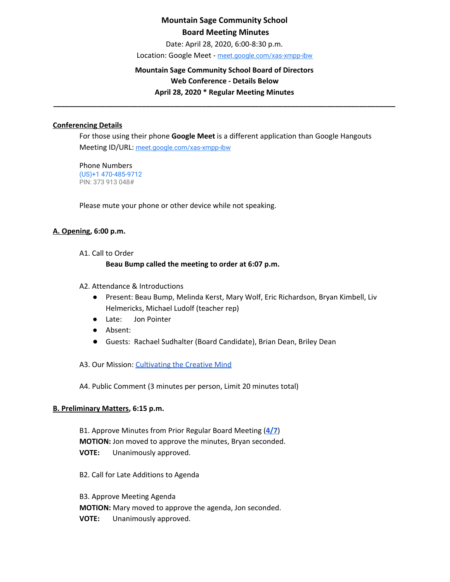Date: April 28, 2020, 6:00-8:30 p.m.

Location: Google Meet - [meet.google.com/xas-xmpp-ibw](https://meet.google.com/xas-xmpp-ibw?hs=122&authuser=1)

## **Mountain Sage Community School Board of Directors Web Conference - Details Below April 28, 2020 \* Regular Meeting Minutes**

**\_\_\_\_\_\_\_\_\_\_\_\_\_\_\_\_\_\_\_\_\_\_\_\_\_\_\_\_\_\_\_\_\_\_\_\_\_\_\_\_\_\_\_\_\_\_\_\_\_\_\_\_\_\_\_\_\_\_\_\_\_\_\_\_\_\_\_\_\_\_\_\_\_\_\_\_\_\_\_\_\_\_\_\_\_**

### **Conferencing Details**

For those using their phone **Google Meet** is a different application than Google Hangouts Meeting ID/URL: [meet.google.com/xas-xmpp-ibw](https://meet.google.com/xas-xmpp-ibw?hs=122&authuser=1)

Phone Numbers (US)+1 470-485-9712 PIN: 373 913 048#

Please mute your phone or other device while not speaking.

### **A. Opening, 6:00 p.m.**

A1. Call to Order

### **Beau Bump called the meeting to order at 6:07 p.m.**

- A2. Attendance & Introductions
	- Present: Beau Bump, Melinda Kerst, Mary Wolf, Eric Richardson, Bryan Kimbell, Liv Helmericks, Michael Ludolf (teacher rep)
	- Late: Jon Pointer
	- Absent:
	- Guests: Rachael Sudhalter (Board Candidate), Brian Dean, Briley Dean

A3. Our Mission: [Cultivating](http://www.mountainsage.org/mission-and-vision.html) the Creative Mind

A4. Public Comment (3 minutes per person, Limit 20 minutes total)

#### **B. Preliminary Matters, 6:15 p.m.**

B1. Approve Minutes from Prior Regular Board Meeting (**[4/7](https://docs.google.com/document/d/12WOyPrwbWsBWvQDfJgmDIt_Pd3DrTVn_Z-c5wtuVTBg/edit?usp=sharing)**) **MOTION:** Jon moved to approve the minutes, Bryan seconded. **VOTE:** Unanimously approved.

B2. Call for Late Additions to Agenda

B3. Approve Meeting Agenda **MOTION:** Mary moved to approve the agenda, Jon seconded. **VOTE:** Unanimously approved.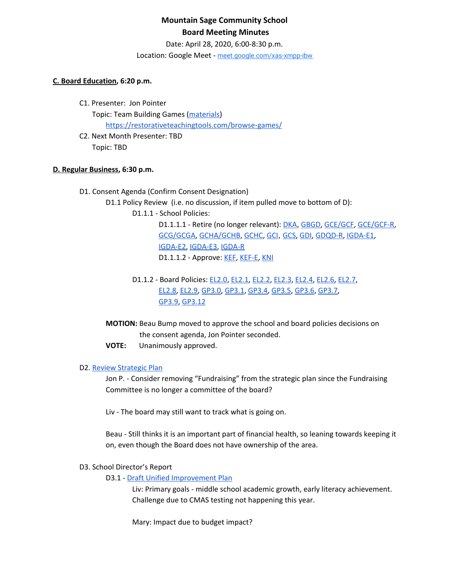Date: April 28, 2020, 6:00-8:30 p.m.

Location: Google Meet - [meet.google.com/xas-xmpp-ibw](https://meet.google.com/xas-xmpp-ibw?hs=122&authuser=1)

### **C. Board Education, 6:20 p.m.**

- C1. Presenter: Jon Pointer Topic: Team Building Games [\(materials](https://drive.google.com/drive/u/0/folders/1lX0HGQZNJX4sRLeo_PWYxBioyBl--7BS)) <https://restorativeteachingtools.com/browse-games/>
- C2. Next Month Presenter: TBD Topic: TBD

### **D. Regular Business, 6:30 p.m.**

- D1. Consent Agenda (Confirm Consent Designation)
	- D1.1 Policy Review (i.e. no discussion, if item pulled move to bottom of D):
		- D1.1.1 School Policies:

D1.1.1.1 - Retire (no longer relevant): [DKA](https://docs.google.com/document/d/18MPwsjlPQ_rYjNQ2Yf59j4ukLBxalenY6kaaguDpwJE), [GBGD](https://docs.google.com/document/d/13z9RhZbpVJHkqVBzN2wqNUJPgBNnHS8pGtWSz3ZrlN4), [GCE/GCF,](https://docs.google.com/document/d/1yXr6r-Cyl3CJW4TiCv1w9YEmRX1Zo-D7QM9Tg-vXmH8) [GCE/GCF-R](https://docs.google.com/document/d/1LGK4nnVYnkMU8iwGO4Rdg3-xeuHCZQQciB3Yg931EMI), [GCG/GCGA](https://docs.google.com/document/d/1JIJwsFADJBk7Nv1-p1QBIX6rQsshAndFVWWK3TDq88U), [GCHA/GCHB](https://docs.google.com/document/d/1qnhYkMq6WIXF7jVYxRwQGIleTw8zFDCz2gd9SQgo5u0), [GCHC,](https://docs.google.com/document/d/1JJSUnQBcVOPwI79jC8wkjEnccQCYkAGPGhQJj6sRnJs) [GCI](https://docs.google.com/document/d/16N22B9d-MULecV_rXyGZwXU8GXHg9ukKQcX8pYL2kpo), [GCS,](https://docs.google.com/document/d/1QNCxXH6OLVmzKttMIYUnHiRbfdmP-28QT6CWU-VHHJ4) [GDI](https://drive.google.com/open?id=1gsSu5rN3_gSVVKND8jBd4-EK57cMqwZNvYnKPxAwmTY), [GDQD-R](https://drive.google.com/open?id=1Ra2EQqc65Kzq5fShbgQ_9QPbCUa1ZuIRyyN6kgEv4Ho), [IGDA-E1](https://drive.google.com/open?id=1VZss8gvwew6KfnjuN3EihB6vrx7GSZh15WRdtu4Pa4s), [IGDA-E2,](https://drive.google.com/open?id=1nw_BhxMzeenmG8I8rWmyObjzvTOiznoD243Sq07eCvY) [IGDA-E3,](https://drive.google.com/open?id=1rMdq1MtPOuUNQOpGYvJuKYOuR9I1OMrzB1CAEzeShas) [IGDA-R](https://drive.google.com/open?id=1q9qidDNJ6ssrJuCfgEIwtQwbEa2WBXf2aDPqnHLMLJ4) D1.1.1.2 - Approve: [KEF](https://drive.google.com/open?id=1PkGD_XBOAP-jL2JqiAmeD62EL9Bty99a5dJvoddx_ho), [KEF-E](https://drive.google.com/open?id=1gyWLSVji-NgBz--ucR7Yg7-mEroi6UyBq1-j4_SS3as), [KNI](https://docs.google.com/document/d/1rrMUzUfDGI0urku5BPvbq7C2gQcqiCc1amoL704cYjM)

- D1.1.2 Board Policies: [EL2.0](https://docs.google.com/document/d/1c0o8Bnu1HYiTBbFgIwpmzyxhRvPehIWJNSWBV5DKs9g), [EL2.1](https://docs.google.com/document/d/1w25gIwhGuojg0LtinVdvX2LcxLWfwRN4pTFPHZ3NNXc), [EL2.2,](https://docs.google.com/document/d/1MaJBbBGpBoWaL7MoXpY0wSAT9GoCbewlcDQq-BFaU3Q) [EL2.3,](https://docs.google.com/document/d/1GzmBOOp5v9S4NJmlkGL0iRVuHfhg_T72zoANrVKVbLg) [EL2.4,](https://docs.google.com/document/d/1QInt2oOSDx0py9EtUsP6-0-OEZQcStkMdYw-gwIO3dU) [EL2.6,](https://docs.google.com/document/d/1oevLXsUA7soeB4_kwDFbjhBLkGQQPsNkIgzLJzFy3cU) [EL2.7](https://docs.google.com/document/d/1pri48vTezgmvyf6oLJZXObuZ68Wf_35LLqKNuTvSG2A), [EL2.8,](https://docs.google.com/document/d/1CRy-bV8I9d_GuKcWhyaczopX8vJ8mZXot1zXBJNeNxo) [EL2.9](https://docs.google.com/document/d/1GZEKYwkBDBPrMmiQ4Bl5rLYnctwF_E27ZKu9GYY7lYs), [GP3.0,](https://docs.google.com/document/d/1rOOj0tNmvU3l9f7mPNuRgEMOeCeu7x5aFbV8KcULAJ0) [GP3.1](https://docs.google.com/document/d/1NonFAZjQqrgk3QgqYytescPeinFAJlvsinSFU_gML5Q), [GP3.4](https://docs.google.com/document/d/1S_NJ1Y2QkeIt_9twvGFgt8U5tNM_vUfzIgtN4Gj1ssY), [GP3.5](https://docs.google.com/document/d/1IIf1tHKXPf4ho9PP65iWjBb79Ln2vDhJquUAo8Co65A), [GP3.6,](https://docs.google.com/document/d/11NzhXxu-XWrxSQOlW5v21SskME9k9GRrxaxm508bP5I) [GP3.7,](https://docs.google.com/document/d/1373qt1YXZKad8EZGuCRW_oa8Xcf6y9CN5zuFsCV0s18) [GP3.9](https://docs.google.com/document/d/1i6NGBbxZjvcmJUjud0bdBKC2Fh_S0Oz7ohEMe_sz_Lk), [GP3.12](https://docs.google.com/document/d/1FKk24I8tv2ld-jByu-bRHCMGTVWX6s_CH8to5GXqHcM)
- **MOTION:** Beau Bump moved to approve the school and board policies decisions on the consent agenda, Jon Pointer seconded.
- **VOTE:** Unanimously approved.

## D2. Review [Strategic](https://drive.google.com/file/d/1bIEAL8S8NnDx9PPJRR79h1dLsXFMCh-t/view?usp=sharing) Plan

Jon P. - Consider removing "Fundraising" from the strategic plan since the Fundraising Committee is no longer a committee of the board?

Liv - The board may still want to track what is going on.

Beau - Still thinks it is an important part of financial health, so leaning towards keeping it on, even though the Board does not have ownership of the area.

## D3. School Director's Report

D3.1 - Draft Unified [Improvement](https://co-uip.force.com/UIP/PublicUIP?id=a012I00000hOOYTQA4) Plan

Liv: Primary goals - middle school academic growth, early literacy achievement. Challenge due to CMAS testing not happening this year.

Mary: Impact due to budget impact?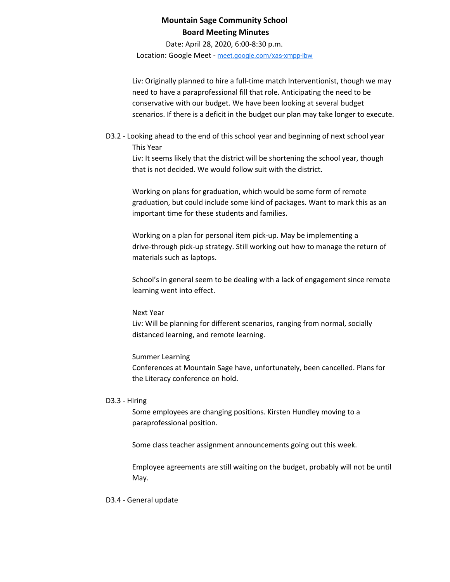Date: April 28, 2020, 6:00-8:30 p.m.

Location: Google Meet - [meet.google.com/xas-xmpp-ibw](https://meet.google.com/xas-xmpp-ibw?hs=122&authuser=1)

Liv: Originally planned to hire a full-time match Interventionist, though we may need to have a paraprofessional fill that role. Anticipating the need to be conservative with our budget. We have been looking at several budget scenarios. If there is a deficit in the budget our plan may take longer to execute.

D3.2 - Looking ahead to the end of this school year and beginning of next school year This Year

Liv: It seems likely that the district will be shortening the school year, though that is not decided. We would follow suit with the district.

Working on plans for graduation, which would be some form of remote graduation, but could include some kind of packages. Want to mark this as an important time for these students and families.

Working on a plan for personal item pick-up. May be implementing a drive-through pick-up strategy. Still working out how to manage the return of materials such as laptops.

School's in general seem to be dealing with a lack of engagement since remote learning went into effect.

#### Next Year

Liv: Will be planning for different scenarios, ranging from normal, socially distanced learning, and remote learning.

#### Summer Learning

Conferences at Mountain Sage have, unfortunately, been cancelled. Plans for the Literacy conference on hold.

#### D3.3 - Hiring

Some employees are changing positions. Kirsten Hundley moving to a paraprofessional position.

Some class teacher assignment announcements going out this week.

Employee agreements are still waiting on the budget, probably will not be until May.

#### D3.4 - General update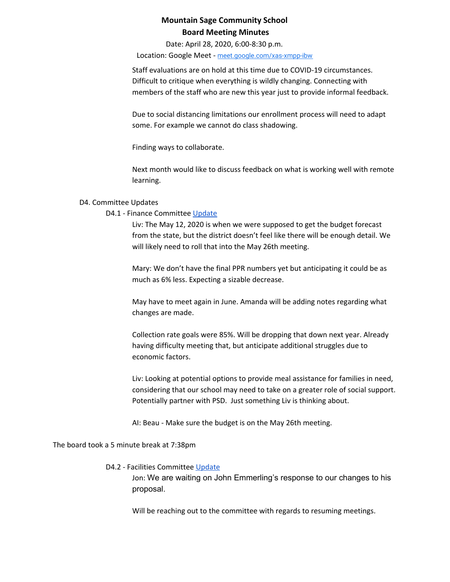Date: April 28, 2020, 6:00-8:30 p.m.

Location: Google Meet - [meet.google.com/xas-xmpp-ibw](https://meet.google.com/xas-xmpp-ibw?hs=122&authuser=1)

Staff evaluations are on hold at this time due to COVID-19 circumstances. Difficult to critique when everything is wildly changing. Connecting with members of the staff who are new this year just to provide informal feedback.

Due to social distancing limitations our enrollment process will need to adapt some. For example we cannot do class shadowing.

Finding ways to collaborate.

Next month would like to discuss feedback on what is working well with remote learning.

### D4. Committee Updates

### D4.1 - Finance Committee [Update](https://docs.google.com/document/d/1xMXpaABqur4vRQQa4t1I39CHGmhWaKb2uVeJJUylgXg)

Liv: The May 12, 2020 is when we were supposed to get the budget forecast from the state, but the district doesn't feel like there will be enough detail. We will likely need to roll that into the May 26th meeting.

Mary: We don't have the final PPR numbers yet but anticipating it could be as much as 6% less. Expecting a sizable decrease.

May have to meet again in June. Amanda will be adding notes regarding what changes are made.

Collection rate goals were 85%. Will be dropping that down next year. Already having difficulty meeting that, but anticipate additional struggles due to economic factors.

Liv: Looking at potential options to provide meal assistance for families in need, considering that our school may need to take on a greater role of social support. Potentially partner with PSD. Just something Liv is thinking about.

AI: Beau - Make sure the budget is on the May 26th meeting.

The board took a 5 minute break at 7:38pm

#### D4.2 - Facilities Committee [Update](https://docs.google.com/document/d/1A-8CxnY_nX6eUwj6o9vC1FvYTtpcSQQ-nSUHgCdzY2Y)

Jon: We are waiting on John Emmerling's response to our changes to his proposal.

Will be reaching out to the committee with regards to resuming meetings.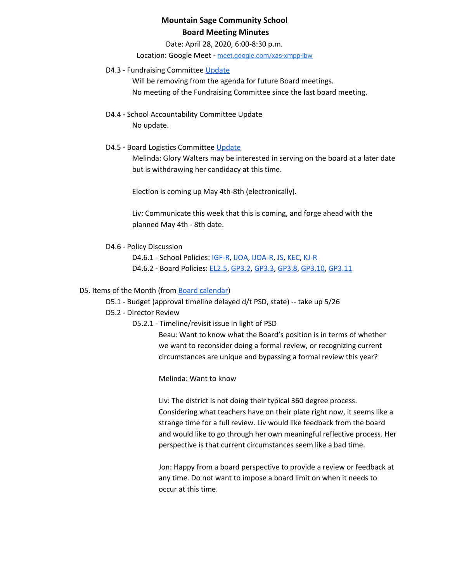Date: April 28, 2020, 6:00-8:30 p.m.

Location: Google Meet - [meet.google.com/xas-xmpp-ibw](https://meet.google.com/xas-xmpp-ibw?hs=122&authuser=1)

## D4.3 - Fundraising Committee [Update](https://drive.google.com/open?id=1L5gL-EuBwWMxD7vk3Vcoyj7A9ezEWlYRA30i12Zu3Tw)

Will be removing from the agenda for future Board meetings. No meeting of the Fundraising Committee since the last board meeting.

D4.4 - School Accountability Committee Update No update.

## D4.5 - Board Logistics Committee [Update](https://drive.google.com/open?id=1GMZVfpqjYliATXwKcJlCUEQDfEgPu1WJF70kdvHuKbA)

Melinda: Glory Walters may be interested in serving on the board at a later date but is withdrawing her candidacy at this time.

Election is coming up May 4th-8th (electronically).

Liv: Communicate this week that this is coming, and forge ahead with the planned May 4th - 8th date.

D4.6 - Policy Discussion

D4.6.1 - School Policies: [IGF-R,](https://drive.google.com/open?id=1miaI655qSVx0mkoge_Ogf0wfQe_WHysQOHWy3E8vP_4) [IJOA,](https://drive.google.com/open?id=127iMJeasFSKC9cgptf53Po-Lt65l7qPxlFaFTCDx8Bc) [IJOA-R](https://drive.google.com/open?id=10D8cL9gSGsZ4qw0McfOHYMYGB72Y2tjHtReRjqjzPfw), [JS,](https://docs.google.com/document/d/1rf5GBWs-YOgZhMLOzJxPMH3JRSSvb52K1Sytz0KNBiU) [KEC,](https://drive.google.com/open?id=108m23bf4wN-nGySmWFhaqPyzr6OifhWuoCBYjYqfRoE) [KJ-R](https://docs.google.com/document/d/1Y4ZRTfhnfaBxuilXfk0sCEiIzcjzBLQFw72AJVi7ZmQ) D4.6.2 - Board Policies: [EL2.5](https://docs.google.com/document/d/1nYs8TvRZiMJCIYsfBXl8_YG7hKr1aksmEDiekAFgNk8), [GP3.2](https://docs.google.com/document/d/1hnkmTRt9MDSaMV_ZQoyMefFZinry9VycskNaaV3UnGE), [GP3.3,](https://docs.google.com/document/d/1rCNyuUn-oRMQUnt7UX3Ur8rkx1Y8x7-CkbfRWeG56kU) [GP3.8](https://docs.google.com/document/d/1jQ-h_nZxYr44jzisoAamCD-ZTlqzI_RwpOrxd1MbjgY), [GP3.10,](https://docs.google.com/document/d/1SlF3cHVQfU9alRa-s9YSLYbjkR3MyXITu4wVCfhZyuU) [GP3.11](https://docs.google.com/document/d/1wBiDP8kqKlyJ4ohM3_tg5_pp2Uy8FXx9msG9Vqy2trM)

## D5. Items of the Month (from Board [calendar](https://docs.google.com/document/d/12S6s-qevYMsnj8Cr2yw6uMO7S7hL3gz2oKvXZk5ZndQ/edit?usp=sharing))

D5.1 - Budget (approval timeline delayed d/t PSD, state) -- take up 5/26

D5.2 - Director Review

D5.2.1 - Timeline/revisit issue in light of PSD

Beau: Want to know what the Board's position is in terms of whether we want to reconsider doing a formal review, or recognizing current circumstances are unique and bypassing a formal review this year?

Melinda: Want to know

Liv: The district is not doing their typical 360 degree process. Considering what teachers have on their plate right now, it seems like a strange time for a full review. Liv would like feedback from the board and would like to go through her own meaningful reflective process. Her perspective is that current circumstances seem like a bad time.

Jon: Happy from a board perspective to provide a review or feedback at any time. Do not want to impose a board limit on when it needs to occur at this time.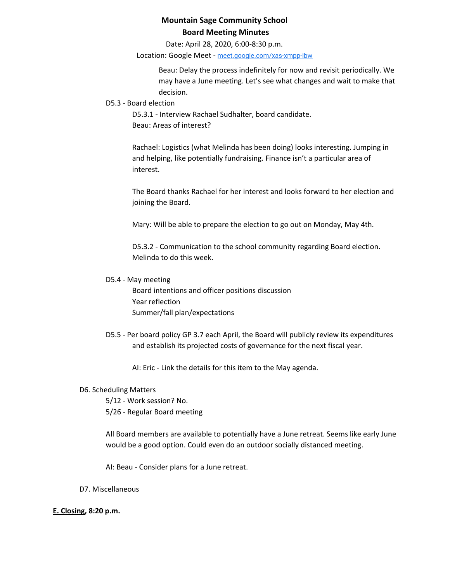Date: April 28, 2020, 6:00-8:30 p.m.

Location: Google Meet - [meet.google.com/xas-xmpp-ibw](https://meet.google.com/xas-xmpp-ibw?hs=122&authuser=1)

Beau: Delay the process indefinitely for now and revisit periodically. We may have a June meeting. Let's see what changes and wait to make that decision.

#### D5.3 - Board election

D5.3.1 - Interview Rachael Sudhalter, board candidate. Beau: Areas of interest?

Rachael: Logistics (what Melinda has been doing) looks interesting. Jumping in and helping, like potentially fundraising. Finance isn't a particular area of interest.

The Board thanks Rachael for her interest and looks forward to her election and joining the Board.

Mary: Will be able to prepare the election to go out on Monday, May 4th.

D5.3.2 - Communication to the school community regarding Board election. Melinda to do this week.

### D5.4 - May meeting

Board intentions and officer positions discussion Year reflection Summer/fall plan/expectations

D5.5 - Per board policy GP 3.7 each April, the Board will publicly review its expenditures and establish its projected costs of governance for the next fiscal year.

AI: Eric - Link the details for this item to the May agenda.

## D6. Scheduling Matters

5/12 - Work session? No. 5/26 - Regular Board meeting

All Board members are available to potentially have a June retreat. Seems like early June would be a good option. Could even do an outdoor socially distanced meeting.

AI: Beau - Consider plans for a June retreat.

## D7. Miscellaneous

## **E. Closing, 8:20 p.m.**